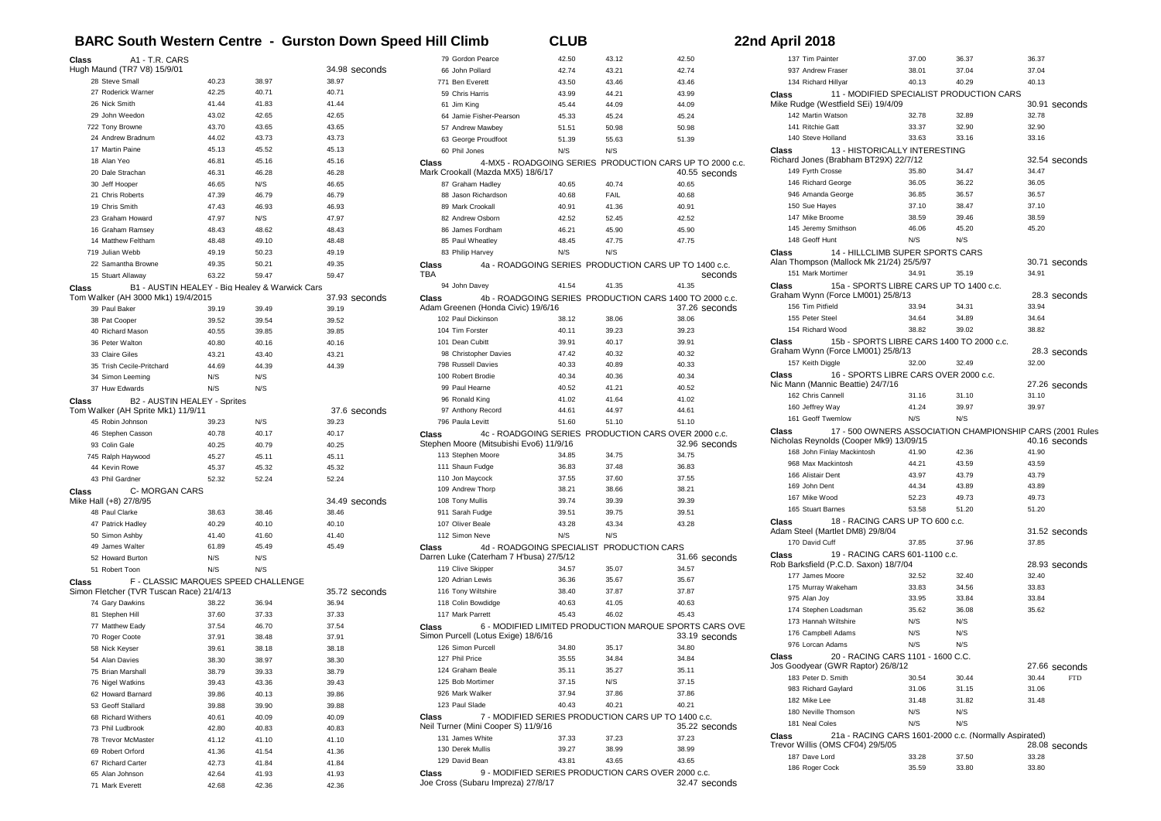## **BARC South Western Centre - Gurston Down Speed Hill Climb CLUB CLUB** 2

|  |  | 22nd April 2018 |  |
|--|--|-----------------|--|
|--|--|-----------------|--|

| A1 - T.R. CARS<br>Class                                 |       |       |               | 79 Gordon Pearce                        | 42.50 | 43.12                                     | 42.50                                                    |
|---------------------------------------------------------|-------|-------|---------------|-----------------------------------------|-------|-------------------------------------------|----------------------------------------------------------|
| Hugh Maund (TR7 V8) 15/9/01                             |       |       | 34.98 seconds | 66 John Pollard                         | 42.74 | 43.21                                     | 42.74                                                    |
| 28 Steve Small                                          | 40.23 | 38.97 | 38.97         | 771 Ben Everett                         | 43.50 | 43.46                                     | 43.46                                                    |
| 27 Roderick Warner                                      | 42.25 | 40.71 | 40.71         | 59 Chris Harris                         | 43.99 | 44.21                                     | 43.99                                                    |
| 26 Nick Smith                                           | 41.44 | 41.83 | 41.44         | 61 Jim King                             | 45.44 | 44.09                                     | 44.09                                                    |
| 29 John Weedon                                          | 43.02 | 42.65 | 42.65         | 64 Jamie Fisher-Pearson                 | 45.33 | 45.24                                     | 45.24                                                    |
| 722 Tony Browne                                         | 43.70 | 43.65 | 43.65         | 57 Andrew Mawbey                        | 51.51 | 50.98                                     | 50.98                                                    |
| 24 Andrew Bradnum                                       | 44.02 | 43.73 | 43.73         | 63 George Proudfoot                     | 51.39 | 55.63                                     | 51.39                                                    |
| 17 Martin Paine                                         | 45.13 | 45.52 | 45.13         | 60 Phil Jones                           | N/S   | N/S                                       |                                                          |
| 18 Alan Yeo                                             | 46.81 | 45.16 | 45.16         | Class                                   |       |                                           | 4-MX5 - ROADGOING SERIES PRODUCTION CARS UP TO 2000 c.c. |
| 20 Dale Strachan                                        | 46.31 | 46.28 | 46.28         | Mark Crookall (Mazda MX5) 18/6/17       |       |                                           | 40.55 seconds                                            |
| 30 Jeff Hooper                                          | 46.65 | N/S   | 46.65         | 87 Graham Hadley                        | 40.65 | 40.74                                     | 40.65                                                    |
| 21 Chris Roberts                                        | 47.39 | 46.79 | 46.79         | 88 Jason Richardson                     | 40.68 | FAIL                                      | 40.68                                                    |
| 19 Chris Smith                                          | 47.43 | 46.93 | 46.93         | 89 Mark Crookall                        | 40.91 | 41.36                                     | 40.91                                                    |
| 23 Graham Howard                                        | 47.97 | N/S   | 47.97         | 82 Andrew Osborn                        | 42.52 | 52.45                                     | 42.52                                                    |
|                                                         |       |       |               |                                         |       |                                           |                                                          |
| 16 Graham Ramsey                                        | 48.43 | 48.62 | 48.43         | 86 James Fordham                        | 46.21 | 45.90                                     | 45.90                                                    |
| 14 Matthew Feltham                                      | 48.48 | 49.10 | 48.48         | 85 Paul Wheatlev                        | 48.45 | 47.75                                     | 47.75                                                    |
| 719 Julian Webb                                         | 49.19 | 50.23 | 49.19         | 83 Philip Harvey                        | N/S   | N/S                                       |                                                          |
| 22 Samantha Browne                                      | 49.35 | 50.21 | 49.35         | Class                                   |       |                                           | 4a - ROADGOING SERIES PRODUCTION CARS UP TO 1400 c.c.    |
| 15 Stuart Allaway                                       | 63.22 | 59.47 | 59.47         | TBA                                     |       |                                           | seconds                                                  |
| B1 - AUSTIN HEALEY - Big Healey & Warwick Cars<br>Class |       |       |               | 94 John Davey                           | 41.54 | 41.35                                     | 41.35                                                    |
| Tom Walker (AH 3000 Mk1) 19/4/2015                      |       |       | 37.93 seconds | Class                                   |       |                                           | 4b - ROADGOING SERIES PRODUCTION CARS 1400 TO 2000 c.c.  |
| 39 Paul Baker                                           | 39.19 | 39.49 | 39.19         | Adam Greenen (Honda Civic) 19/6/16      |       |                                           | 37.26 seconds                                            |
| 38 Pat Cooper                                           | 39.52 | 39.54 | 39.52         | 102 Paul Dickinson                      | 38.12 | 38.06                                     | 38.06                                                    |
| 40 Richard Mason                                        | 40.55 | 39.85 | 39.85         | 104 Tim Forster                         | 40.11 | 39.23                                     | 39.23                                                    |
| 36 Peter Walton                                         | 40.80 | 40.16 | 40.16         | 101 Dean Cubitt                         | 39.91 | 40.17                                     | 39.91                                                    |
| 33 Claire Giles                                         | 43.21 | 43.40 | 43.21         | 98 Christopher Davies                   | 47.42 | 40.32                                     | 40.32                                                    |
| 35 Trish Cecile-Pritchard                               | 44.69 | 44.39 | 44.39         | 798 Russell Davies                      | 40.33 | 40.89                                     | 40.33                                                    |
| 34 Simon Leeming                                        | N/S   | N/S   |               | 100 Robert Brodie                       | 40.34 | 40.36                                     | 40.34                                                    |
| 37 Huw Edwards                                          | N/S   | N/S   |               | 99 Paul Hearne                          | 40.52 | 41.21                                     | 40.52                                                    |
| B2 - AUSTIN HEALEY - Sprites<br>Class                   |       |       |               | 96 Ronald King                          | 41.02 | 41.64                                     | 41.02                                                    |
| Tom Walker (AH Sprite Mk1) 11/9/11                      |       |       | 37.6 seconds  | 97 Anthony Record                       | 44.61 | 44.97                                     | 44.61                                                    |
| 45 Robin Johnson                                        | 39.23 | N/S   | 39.23         | 796 Paula Levitt                        | 51.60 | 51.10                                     | 51.10                                                    |
| 46 Stephen Casson                                       | 40.78 | 40.17 | 40.17         | Class                                   |       |                                           | 4c - ROADGOING SERIES PRODUCTION CARS OVER 2000 c.c.     |
| 93 Colin Gale                                           | 40.25 | 40.79 | 40.25         | Stephen Moore (Mitsubishi Evo6) 11/9/16 |       |                                           | 32.96 seconds                                            |
| 745 Ralph Haywood                                       | 45.27 | 45.11 | 45.11         | 113 Stephen Moore                       | 34.85 | 34.75                                     | 34.75                                                    |
| 44 Kevin Rowe                                           | 45.37 | 45.32 | 45.32         | 111 Shaun Fudge                         | 36.83 | 37.48                                     | 36.83                                                    |
| 43 Phil Gardner                                         | 52.32 | 52.24 | 52.24         | 110 Jon Maycock                         | 37.55 | 37.60                                     | 37.55                                                    |
| C-MORGAN CARS<br>Class                                  |       |       |               | 109 Andrew Thorp                        | 38.21 | 38.66                                     | 38.21                                                    |
| Mike Hall (+8) 27/8/95                                  |       |       | 34.49 seconds | 108 Tony Mullis                         | 39.74 | 39.39                                     | 39.39                                                    |
| 48 Paul Clarke                                          | 38.63 | 38.46 | 38.46         | 911 Sarah Fudge                         | 39.51 | 39.75                                     | 39.51                                                    |
|                                                         | 40.29 | 40.10 | 40.10         | 107 Oliver Beale                        | 43.28 | 43.34                                     | 43.28                                                    |
| 47 Patrick Hadley                                       |       |       |               |                                         |       |                                           |                                                          |
| 50 Simon Ashby                                          | 41.40 | 41.60 | 41.40         | 112 Simon Neve                          | N/S   | N/S                                       |                                                          |
| 49 James Walter                                         | 61.89 | 45.49 | 45.49         | <b>Class</b>                            |       | 4d - ROADGOING SPECIALIST PRODUCTION CARS |                                                          |
| 52 Howard Burton                                        | N/S   | N/S   |               | Darren Luke (Caterham 7 H'busa) 27/5/12 |       |                                           | 31.66 seconds                                            |
| 51 Robert Toon                                          | N/S   | N/S   |               | 119 Clive Skipper                       | 34.57 | 35.07                                     | 34.57                                                    |
| F - CLASSIC MARQUES SPEED CHALLENGE<br>Class            |       |       |               | 120 Adrian Lewis                        | 36.36 | 35.67                                     | 35.67                                                    |
| Simon Fletcher (TVR Tuscan Race) 21/4/13                |       |       | 35.72 seconds | 116 Tony Wiltshire                      | 38.40 | 37.87                                     | 37.87                                                    |
| 74 Gary Dawkins                                         | 38.22 | 36.94 | 36.94         | 118 Colin Bowdidge                      | 40.63 | 41.05                                     | 40.63                                                    |
| 81 Stephen Hill                                         | 37.60 | 37.33 | 37.33         | 117 Mark Parrett                        | 45.43 | 46.02                                     | 45.43                                                    |
| 77 Matthew Eady                                         | 37.54 | 46.70 | 37.54         | Class                                   |       |                                           | 6 - MODIFIED LIMITED PRODUCTION MARQUE SPORTS CARS OVE   |
| 70 Roger Coote                                          | 37.91 | 38.48 | 37.91         | Simon Purcell (Lotus Exige) 18/6/16     |       |                                           | 33.19 seconds                                            |
| 58 Nick Keyser                                          | 39.61 | 38.18 | 38.18         | 126 Simon Purcell                       | 34.80 | 35.17                                     | 34.80                                                    |
| 54 Alan Davies                                          | 38.30 | 38.97 | 38.30         | 127 Phil Price                          | 35.55 | 34.84                                     | 34.84                                                    |
| 75 Brian Marshall                                       | 38.79 | 39.33 | 38.79         | 124 Graham Beale                        | 35.11 | 35.27                                     | 35.11                                                    |
| 76 Nigel Watkins                                        | 39.43 | 43.36 | 39.43         | 125 Bob Mortimer                        | 37.15 | N/S                                       | 37.15                                                    |
| 62 Howard Barnard                                       | 39.86 | 40.13 | 39.86         | 926 Mark Walker                         | 37.94 | 37.86                                     | 37.86                                                    |
| 53 Geoff Stallard                                       | 39.88 | 39.90 | 39.88         | 123 Paul Slade                          | 40.43 | 40.21                                     | 40.21                                                    |
| 68 Richard Withers                                      | 40.61 | 40.09 | 40.09         | Class                                   |       |                                           | 7 - MODIFIED SERIES PRODUCTION CARS UP TO 1400 c.c.      |
| 73 Phil Ludbrook                                        | 42.80 | 40.83 | 40.83         | Neil Turner (Mini Cooper S) 11/9/16     |       |                                           | 35.22 seconds                                            |
| 78 Trevor McMaster                                      | 41.12 | 41.10 | 41.10         | 131 James White                         | 37.33 | 37.23                                     | 37.23                                                    |
| 69 Robert Orford                                        | 41.36 | 41.54 | 41.36         | 130 Derek Mullis                        | 39.27 | 38.99                                     | 38.99                                                    |
| 67 Richard Carter                                       | 42.73 | 41.84 | 41.84         | 129 David Bean                          | 43.81 | 43.65                                     | 43.65                                                    |
| 65 Alan Johnson                                         | 42.64 | 41.93 | 41.93         | Class                                   |       |                                           | 9 - MODIFIED SERIES PRODUCTION CARS OVER 2000 c.c.       |
| 71 Mark Everett                                         | 42.68 | 42.36 | 42.36         | Joe Cross (Subaru Impreza) 27/8/17      |       |                                           | 32.47 seconds                                            |

| 137 Tim Painter                                                                                               | 37.00 | 36.37 | 36.37 |               |
|---------------------------------------------------------------------------------------------------------------|-------|-------|-------|---------------|
| 937 Andrew Fraser                                                                                             | 38.01 | 37.04 | 37.04 |               |
| 134 Richard Hillyar                                                                                           | 40.13 | 40.29 | 40.13 |               |
| 11 - MODIFIED SPECIALIST PRODUCTION CARS<br>Class                                                             |       |       |       |               |
| Mike Rudge (Westfield SEi) 19/4/09                                                                            |       |       |       | 30.91 seconds |
| 142 Martin Watson                                                                                             | 32.78 | 32.89 | 32.78 |               |
| 141 Ritchie Gatt                                                                                              | 33.37 | 32.90 | 32.90 |               |
| 140 Steve Holland                                                                                             | 33.63 | 33.16 | 33.16 |               |
| 13 - HISTORICALLY INTERESTING<br>Class                                                                        |       |       |       |               |
| Richard Jones (Brabham BT29X) 22/7/12                                                                         |       |       |       | 32.54 seconds |
| 149 Fyrth Crosse                                                                                              | 35.80 | 34.47 | 34.47 |               |
| 146 Richard George                                                                                            | 36.05 | 36.22 | 36.05 |               |
| 946 Amanda George                                                                                             | 36.85 | 36.57 | 36.57 |               |
| 150 Sue Hayes                                                                                                 | 37.10 | 38.47 | 37.10 |               |
| 147 Mike Broome                                                                                               | 38.59 | 39.46 | 38.59 |               |
| 145 Jeremy Smithson                                                                                           | 46.06 | 45.20 | 45.20 |               |
| 148 Geoff Hunt                                                                                                | N/S   | N/S   |       |               |
| 14 - HILLCLIMB SUPER SPORTS CARS                                                                              |       |       |       |               |
| Class<br>Alan Thompson (Mallock Mk 21/24) 25/5/97                                                             |       |       |       | 30.71 seconds |
| 151 Mark Mortimer                                                                                             | 34.91 | 35.19 | 34.91 |               |
|                                                                                                               |       |       |       |               |
| 15a - SPORTS LIBRE CARS UP TO 1400 c.c.<br>Class<br>Graham Wynn (Force LM001) 25/8/13                         |       |       |       | 28.3 seconds  |
| 156 Tim Pitfield                                                                                              | 33.94 | 34.31 | 33.94 |               |
| 155 Peter Steel                                                                                               | 34.64 | 34.89 | 34.64 |               |
| 154 Richard Wood                                                                                              | 38.82 | 39.02 | 38.82 |               |
|                                                                                                               |       |       |       |               |
| 15b - SPORTS LIBRE CARS 1400 TO 2000 c.c.<br>Class<br>Graham Wynn (Force LM001) 25/8/13                       |       |       |       |               |
|                                                                                                               |       |       | 32.00 | 28.3 seconds  |
| 157 Keith Diggle                                                                                              | 32.00 | 32.49 |       |               |
| 16 - SPORTS LIBRE CARS OVER 2000 c.c.<br>Class                                                                |       |       |       |               |
| Nic Mann (Mannic Beattie) 24/7/16                                                                             |       |       |       | 27.26 seconds |
| 162 Chris Cannell                                                                                             | 31.16 | 31.10 | 31.10 |               |
| 160 Jeffrey Way                                                                                               | 41.24 | 39.97 | 39.97 |               |
| 161 Geoff Twemlow                                                                                             | N/S   | N/S   |       |               |
| 17 - 500 OWNERS ASSOCIATION CHAMPIONSHIP CARS (2001 Rules<br>Class<br>Nicholas Reynolds (Cooper Mk9) 13/09/15 |       |       |       | 40.16 seconds |
|                                                                                                               |       |       |       |               |
| 168 John Finlay Mackintosh                                                                                    | 41.90 | 42.36 | 41.90 |               |
| 968 Max Mackintosh                                                                                            | 44.21 | 43.59 | 43.59 |               |
| 166 Alistair Dent                                                                                             | 43.97 | 43.79 | 43.79 |               |
| 169 John Dent                                                                                                 | 44.34 | 43.89 | 43.89 |               |
| 167 Mike Wood                                                                                                 | 52.23 | 49.73 | 49.73 |               |
| 165 Stuart Barnes                                                                                             | 53.58 | 51.20 | 51.20 |               |
| Class<br>18 - RACING CARS UP TO 600 c.c.                                                                      |       |       |       |               |
| Adam Steel (Martlet DM8) 29/8/04                                                                              |       |       |       | 31.52 seconds |
| 170 David Cuff                                                                                                | 37.85 | 37.96 | 37.85 |               |
| 19 - RACING CARS 601-1100 c.c.<br>Class<br>Rob Barksfield (P.C.D. Saxon) 18/7/04                              |       |       |       | 28.93 seconds |
| 177 James Moore                                                                                               | 32.52 | 32.40 | 32.40 |               |
|                                                                                                               | 33.83 | 34.56 | 33.83 |               |
| 175 Murray Wakeham                                                                                            |       |       |       |               |
| 975 Alan Joy                                                                                                  | 33.95 | 33.84 | 33.84 |               |
| 174 Stephen Loadsman                                                                                          | 35.62 | 36.08 | 35.62 |               |
| 173 Hannah Wiltshire                                                                                          | N/S   | N/S   |       |               |
| 176 Campbell Adams                                                                                            | N/S   | N/S   |       |               |
| 976 Lorcan Adams                                                                                              | N/S   | N/S   |       |               |
| 20 - RACING CARS 1101 - 1600 C.C.<br>Class<br>Jos Goodyear (GWR Raptor) 26/8/12                               |       |       |       | 27.66 seconds |
| 183 Peter D. Smith                                                                                            | 30.54 | 30.44 | 30.44 | FTD           |
| 983 Richard Gaylard                                                                                           | 31.06 | 31.15 | 31.06 |               |
| 182 Mike Lee                                                                                                  | 31.48 | 31.82 | 31.48 |               |
| 180 Neville Thomson                                                                                           | N/S   | N/S   |       |               |
| 181 Neal Coles                                                                                                | N/S   | N/S   |       |               |
| 21a - RACING CARS 1601-2000 c.c. (Normally Aspirated)<br>Class<br>Trevor Willis (OMS CF04) 29/5/05            |       |       |       | 28.08 seconds |
| 187 Dave Lord                                                                                                 | 33.28 | 37.50 | 33.28 |               |
| 186 Roger Cock                                                                                                | 35.59 | 33.80 | 33.80 |               |